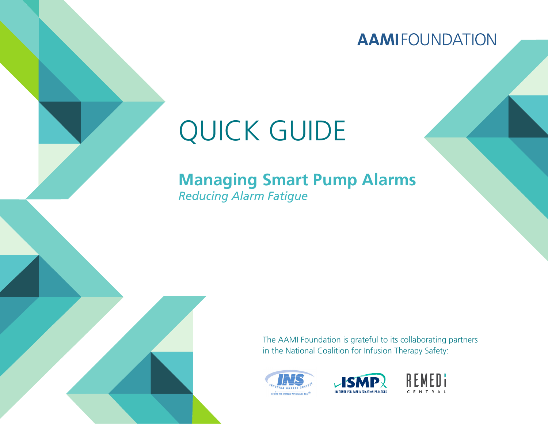**AAMIFOUNDATION** 

# QUICK GUIDE

# **Managing Smart Pump Alarms** *Reducing Alarm Fatigue*

The AAMI Foundation is grateful to its collaborating partners in the National Coalition for Infusion Therapy Safety:





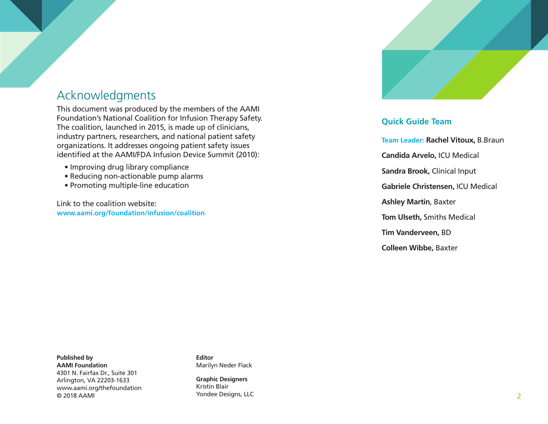# Acknowledgments

This document was produced by the members of the AAMI Foundation's National Coalition for Infusion Therapy Safety. The coalition, launched in 2015, is made up of clinicians, industry partners, researchers, and national patient safety organizations. It addresses ongoing patient safety issues identified at the AAMI/FDA Infusion Device Summit (2010):

- Improving drug library compliance
- Reducing non-actionable pump alarms
- Promoting multiple-line education

Link to the coalition website: **www.aami.org/foundation/infusion/coalition**



### **Quick Guide Team**

**Team Leader: Rachel Vitoux,** B.Braun **Candida Arvelo,** ICU Medical **Sandra Brook,** Clinical Input **Gabriele Christensen,** ICU Medical **Ashley Martin**, Baxter **Tom Ulseth,** Smiths Medical **Tim Vanderveen,** BD **Colleen Wibbe,** Baxter

**Published by AAMI Foundation** 4301 N. Fairfax Dr., Suite 301 Arlington, VA 22203-1633 www.aami.org/thefoundation © 2018 AAMI

**Editor** Marilyn Neder Flack

**Graphic Designers** Kristin Blair Yondee Designs, LLC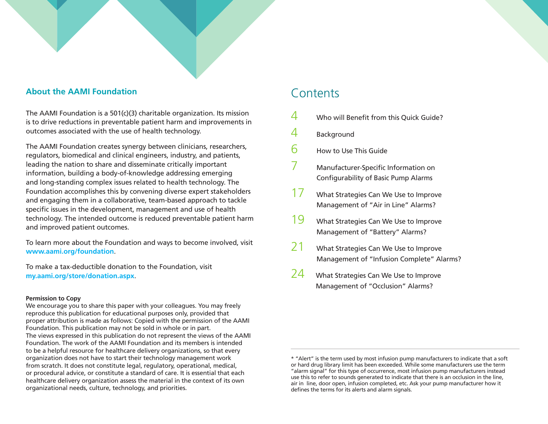#### **About the AAMI Foundation**

The AAMI Foundation is a 501(c)(3) charitable organization. Its mission is to drive reductions in preventable patient harm and improvements in outcomes associated with the use of health technology.

The AAMI Foundation creates synergy between clinicians, researchers, regulators, biomedical and clinical engineers, industry, and patients, leading the nation to share and disseminate critically important information, building a body-of-knowledge addressing emerging and long-standing complex issues related to health technology. The Foundation accomplishes this by convening diverse expert stakeholders and engaging them in a collaborative, team-based approach to tackle specific issues in the development, management and use of health technology. The intended outcome is reduced preventable patient harm and improved patient outcomes.

To learn more about the Foundation and ways to become involved, visit **www.aami.org/foundation**.

To make a tax-deductible donation to the Foundation, visit **my.aami.org/store/donation.aspx**.

#### **Permission to Copy**

We encourage you to share this paper with your colleagues. You may freely reproduce this publication for educational purposes only, provided that proper attribution is made as follows: Copied with the permission of the AAMI Foundation. This publication may not be sold in whole or in part. The views expressed in this publication do not represent the views of the AAMI Foundation. The work of the AAMI Foundation and its members is intended to be a helpful resource for healthcare delivery organizations, so that every organization does not have to start their technology management work from scratch. It does not constitute legal, regulatory, operational, medical, or procedural advice, or constitute a standard of care. It is essential that each healthcare delivery organization assess the material in the context of its own organizational needs, culture, technology, and priorities.

### **Contents**

- $4$  Who will Benefit from this Quick Guide?
- 4 Background
- $6$  How to Use This Guide
- 7 Manufacturer-Specific Information on Configurability of Basic Pump Alarms
- 17 What Strategies Can We Use to Improve Management of "Air in Line" Alarms?
- 19 What Strategies Can We Use to Improve Management of "Battery" Alarms?
- 21 What Strategies Can We Use to Improve Management of "Infusion Complete" Alarms?
- 24 What Strategies Can We Use to Improve Management of "Occlusion" Alarms?

<sup>\* &</sup>quot;Alert" is the term used by most infusion pump manufacturers to indicate that a soft or hard drug library limit has been exceeded. While some manufacturers use the term "alarm signal" for this type of occurrence, most infusion pump manufacturers instead use this to refer to sounds generated to indicate that there is an occlusion in the line, air in line, door open, infusion completed, etc. Ask your pump manufacturer how it defines the terms for its alerts and alarm signals.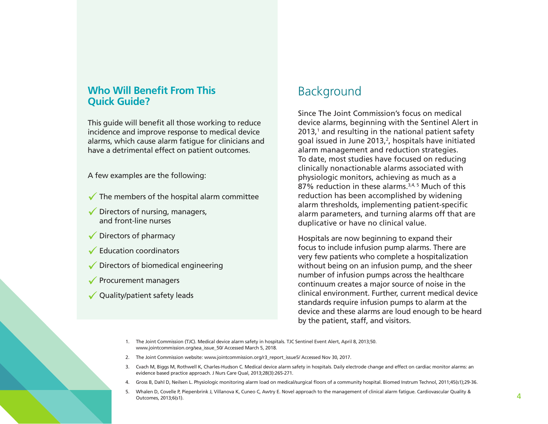# **Who Will Benefit From This Background<br>Quick Guide?**

This guide will benefit all those working to reduce incidence and improve response to medical device alarms, which cause alarm fatigue for clinicians and have a detrimental effect on patient outcomes.

A few examples are the following:

- $\checkmark$  The members of the hospital alarm committee
- $\sqrt{\phantom{a}}$  Directors of nursing, managers, and front-line nurses
- Directors of pharmacy
- **► Education coordinators**
- $\sqrt{\phantom{a}}$  Directors of biomedical engineering
- $\sqrt{\ }$  Procurement managers
- ◆ Quality/patient safety leads

Since The Joint Commission's focus on medical device alarms, beginning with the Sentinel Alert in  $2013$ ,<sup>1</sup> and resulting in the national patient safety goal issued in June 2013, $^2$ , hospitals have initiated alarm management and reduction strategies. To date, most studies have focused on reducing clinically nonactionable alarms associated with physiologic monitors, achieving as much as a 87% reduction in these alarms.<sup>3,4, 5</sup> Much of this reduction has been accomplished by widening alarm thresholds, implementing patient-specific alarm parameters, and turning alarms off that are duplicative or have no clinical value.

Hospitals are now beginning to expand their focus to include infusion pump alarms. There are very few patients who complete a hospitalization without being on an infusion pump, and the sheer number of infusion pumps across the healthcare continuum creates a major source of noise in the clinical environment. Further, current medical device standards require infusion pumps to alarm at the device and these alarms are loud enough to be heard by the patient, staff, and visitors.

- 1. The Joint Commission (TJC). Medical device alarm safety in hospitals. TJC Sentinel Event Alert, April 8, 2013;50. www.jointcommission.org/sea\_issue\_50/ Accessed March 5, 2018.
- 2. The Joint Commission website: www.jointcommission.org/r3\_report\_issue5/ Accessed Nov 30, 2017.
- 3. Cvach M, Biggs M, Rothwell K, Charles-Hudson C. Medical device alarm safety in hospitals. Daily electrode change and effect on cardiac monitor alarms: an evidence based practice approach. J Nurs Care Qual, 2013;28(3):265-271.
- 4. Gross B, Dahl D, Neilsen L. Physiologic monitoring alarm load on medical/surgical floors of a community hospital. Biomed Instrum Technol, 2011;45(s1);29-36.
- 5. Whalen D, Covelle P, Piepenbrink J, Villanova K, Cuneo C, Awtry E. Novel approach to the management of clinical alarm fatigue. Cardiovascular Quality & Outcomes, 2013;6(s1).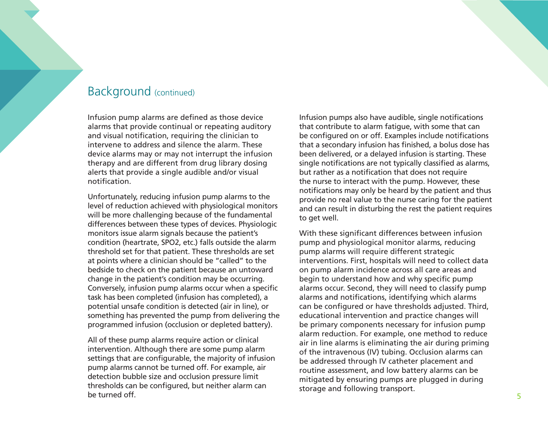### Background (continued)

Infusion pump alarms are defined as those device alarms that provide continual or repeating auditory and visual notification, requiring the clinician to intervene to address and silence the alarm. These device alarms may or may not interrupt the infusion therapy and are different from drug library dosing alerts that provide a single audible and/or visual notification.

Unfortunately, reducing infusion pump alarms to the level of reduction achieved with physiological monitors will be more challenging because of the fundamental differences between these types of devices. Physiologic monitors issue alarm signals because the patient's condition (heartrate, SPO2, etc.) falls outside the alarm threshold set for that patient. These thresholds are set at points where a clinician should be "called" to the bedside to check on the patient because an untoward change in the patient's condition may be occurring. Conversely, infusion pump alarms occur when a specific task has been completed (infusion has completed), a potential unsafe condition is detected (air in line), or something has prevented the pump from delivering the programmed infusion (occlusion or depleted battery).

All of these pump alarms require action or clinical intervention. Although there are some pump alarm settings that are configurable, the majority of infusion pump alarms cannot be turned off. For example, air detection bubble size and occlusion pressure limit thresholds can be configured, but neither alarm can be turned off.

Infusion pumps also have audible, single notifications that contribute to alarm fatigue, with some that can be configured on or off. Examples include notifications that a secondary infusion has finished, a bolus dose has been delivered, or a delayed infusion is starting. These single notifications are not typically classified as alarms, but rather as a notification that does not require the nurse to interact with the pump. However, these notifications may only be heard by the patient and thus provide no real value to the nurse caring for the patient and can result in disturbing the rest the patient requires to get well.

With these significant differences between infusion pump and physiological monitor alarms, reducing pump alarms will require different strategic interventions. First, hospitals will need to collect data on pump alarm incidence across all care areas and begin to understand how and why specific pump alarms occur. Second, they will need to classify pump alarms and notifications, identifying which alarms can be configured or have thresholds adjusted. Third, educational intervention and practice changes will be primary components necessary for infusion pump alarm reduction. For example, one method to reduce air in line alarms is eliminating the air during priming of the intravenous (IV) tubing. Occlusion alarms can be addressed through IV catheter placement and routine assessment, and low battery alarms can be mitigated by ensuring pumps are plugged in during storage and following transport.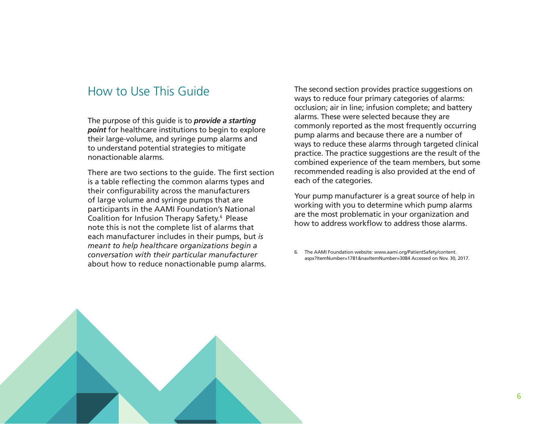## How to Use This Guide

The purpose of this guide is to *provide a starting point* for healthcare institutions to begin to explore their large-volume, and syringe pump alarms and to understand potential strategies to mitigate nonactionable alarms.

There are two sections to the guide. The first section is a table reflecting the common alarms types and their configurability across the manufacturers of large volume and syringe pumps that are participants in the AAMI Foundation's National Coalition for Infusion Therapy Safety.6 Please note this is not the complete list of alarms that each manufacturer includes in their pumps, but *is meant to help healthcare organizations begin a conversation with their particular manufacturer*  about how to reduce nonactionable pump alarms.

The second section provides practice suggestions on ways to reduce four primary categories of alarms: occlusion; air in line; infusion complete; and battery alarms. These were selected because they are commonly reported as the most frequently occurring pump alarms and because there are a number of ways to reduce these alarms through targeted clinical practice. The practice suggestions are the result of the combined experience of the team members, but some recommended reading is also provided at the end of each of the categories.

Your pump manufacturer is a great source of help in working with you to determine which pump alarms are the most problematic in your organization and how to address workflow to address those alarms.

6. The AAMI Foundation website: www.aami.org/PatientSafety/content. aspx?ItemNumber=1781&navItemNumber=3084 Accessed on Nov. 30, 2017.

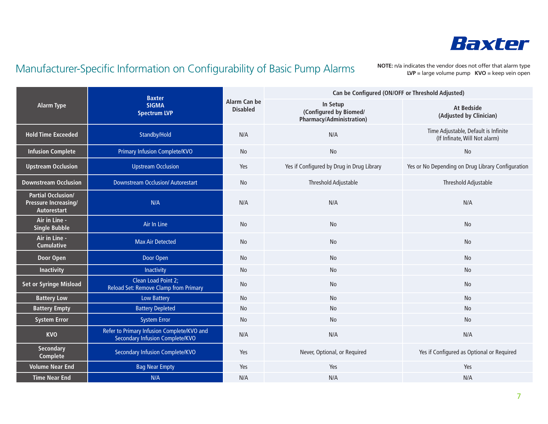

# Manufacturer-Specific Information on Configurability of Basic Pump Alarms

**NOTE:** n/a indicates the vendor does not offer that alarm type **LVP** = large volume pump **KVO** = keep vein open

|                                                                  | <b>Baxter</b><br><b>SIGMA</b><br><b>Spectrum LVP</b>                          | Alarm Can be<br><b>Disabled</b> | Can be Configured (ON/OFF or Threshold Adjusted)                      |                                                                       |  |
|------------------------------------------------------------------|-------------------------------------------------------------------------------|---------------------------------|-----------------------------------------------------------------------|-----------------------------------------------------------------------|--|
| <b>Alarm Type</b>                                                |                                                                               |                                 | In Setup<br>(Configured by Biomed/<br><b>Pharmacy/Administration)</b> | <b>At Bedside</b><br>(Adjusted by Clinician)                          |  |
| <b>Hold Time Exceeded</b>                                        | Standby/Hold                                                                  | N/A                             | N/A                                                                   | Time Adjustable, Default is Infinite<br>(If Infinate, Will Not alarm) |  |
| <b>Infusion Complete</b>                                         | <b>Primary Infusion Complete/KVO</b>                                          | No                              | No                                                                    | No                                                                    |  |
| <b>Upstream Occlusion</b>                                        | <b>Upstream Occlusion</b>                                                     | Yes                             | Yes if Configured by Drug in Drug Library                             | Yes or No Depending on Drug Library Configuration                     |  |
| <b>Downstream Occlusion</b>                                      | <b>Downstream Occlusion/Autorestart</b>                                       | <b>No</b>                       | Threshold Adjustable                                                  | Threshold Adjustable                                                  |  |
| <b>Partial Occlusion/</b><br>Pressure Increasing/<br>Autorestart | N/A                                                                           | N/A                             | N/A                                                                   | N/A                                                                   |  |
| Air in Line -<br><b>Single Bubble</b>                            | Air In Line                                                                   | <b>No</b>                       | No                                                                    | No                                                                    |  |
| Air in Line -<br><b>Cumulative</b>                               | <b>Max Air Detected</b>                                                       | <b>No</b>                       | No                                                                    | No                                                                    |  |
| <b>Door Open</b>                                                 | Door Open                                                                     | No                              | No                                                                    | No                                                                    |  |
| <b>Inactivity</b>                                                | Inactivity                                                                    | <b>No</b>                       | No                                                                    | <b>No</b>                                                             |  |
| <b>Set or Syringe Misload</b>                                    | Clean Load Point 2;<br>Reload Set: Remove Clamp from Primary                  | No                              | No                                                                    | <b>No</b>                                                             |  |
| <b>Battery Low</b>                                               | <b>Low Battery</b>                                                            | No                              | <b>No</b>                                                             | No                                                                    |  |
| <b>Battery Empty</b>                                             | <b>Battery Depleted</b>                                                       | No                              | No                                                                    | No                                                                    |  |
| <b>System Error</b>                                              | <b>System Error</b>                                                           | <b>No</b>                       | <b>No</b>                                                             | <b>No</b>                                                             |  |
| <b>KVO</b>                                                       | Refer to Primary Infusion Complete/KVO and<br>Secondary Infusion Complete/KVO | N/A                             | N/A                                                                   | N/A                                                                   |  |
| <b>Secondary</b><br><b>Complete</b>                              | Secondary Infusion Complete/KVO                                               | Yes                             | Never, Optional, or Required                                          | Yes if Configured as Optional or Required                             |  |
| <b>Volume Near End</b>                                           | <b>Bag Near Empty</b>                                                         | Yes                             | Yes                                                                   | Yes                                                                   |  |
| <b>Time Near End</b>                                             | N/A                                                                           | N/A                             | N/A                                                                   | N/A                                                                   |  |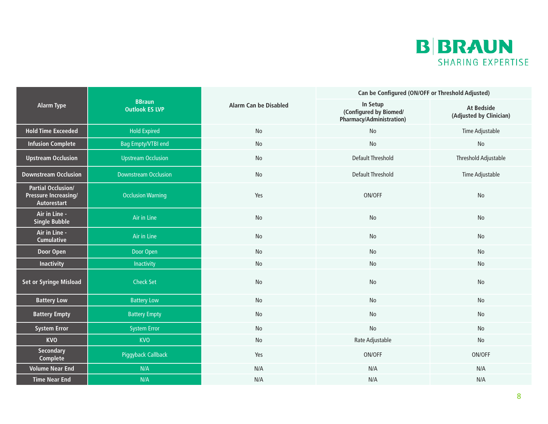

|                                                                         |                                        |                              | Can be Configured (ON/OFF or Threshold Adjusted)               |                                              |  |
|-------------------------------------------------------------------------|----------------------------------------|------------------------------|----------------------------------------------------------------|----------------------------------------------|--|
| <b>Alarm Type</b>                                                       | <b>BBraun</b><br><b>Outlook ES LVP</b> | <b>Alarm Can be Disabled</b> | In Setup<br>(Configured by Biomed/<br>Pharmacy/Administration) | <b>At Bedside</b><br>(Adjusted by Clinician) |  |
| <b>Hold Time Exceeded</b>                                               | <b>Hold Expired</b>                    | No                           | No                                                             | Time Adjustable                              |  |
| <b>Infusion Complete</b>                                                | <b>Bag Empty/VTBI end</b>              | No                           | <b>No</b>                                                      | No                                           |  |
| <b>Upstream Occlusion</b>                                               | <b>Upstream Occlusion</b>              | No                           | <b>Default Threshold</b>                                       | Threshold Adjustable                         |  |
| <b>Downstream Occlusion</b>                                             | <b>Downstream Occlusion</b>            | No                           | <b>Default Threshold</b>                                       | Time Adjustable                              |  |
| <b>Partial Occlusion/</b><br><b>Pressure Increasing/</b><br>Autorestart | <b>Occlusion Warning</b>               | Yes                          | ON/OFF                                                         | <b>No</b>                                    |  |
| Air in Line -<br><b>Single Bubble</b>                                   | Air in Line                            | No                           | No                                                             | <b>No</b>                                    |  |
| Air in Line -<br><b>Cumulative</b>                                      | Air in Line                            | No                           | No                                                             | No                                           |  |
| Door Open                                                               | Door Open                              | No                           | No                                                             | No                                           |  |
| <b>Inactivity</b>                                                       | Inactivity                             | No                           | No                                                             | No                                           |  |
| <b>Set or Syringe Misload</b>                                           | <b>Check Set</b>                       | No                           | <b>No</b>                                                      | No                                           |  |
| <b>Battery Low</b>                                                      | <b>Battery Low</b>                     | No                           | No                                                             | <b>No</b>                                    |  |
| <b>Battery Empty</b>                                                    | <b>Battery Empty</b>                   | No                           | No                                                             | No                                           |  |
| <b>System Error</b>                                                     | <b>System Error</b>                    | No                           | No                                                             | No                                           |  |
| <b>KVO</b>                                                              | <b>KVO</b>                             | No                           | Rate Adjustable                                                | No                                           |  |
| <b>Secondary</b><br>Complete                                            | Piggyback Callback                     | Yes                          | ON/OFF                                                         | ON/OFF                                       |  |
| <b>Volume Near End</b>                                                  | N/A                                    | N/A                          | N/A                                                            | N/A                                          |  |
| <b>Time Near End</b>                                                    | N/A                                    | N/A                          | N/A                                                            | N/A                                          |  |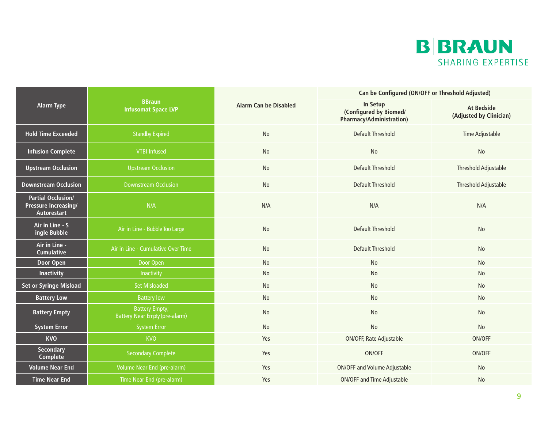

|                                                                                                  |                                                                |                                                                | Can be Configured (ON/OFF or Threshold Adjusted) |                             |  |
|--------------------------------------------------------------------------------------------------|----------------------------------------------------------------|----------------------------------------------------------------|--------------------------------------------------|-----------------------------|--|
| <b>BBraun</b><br><b>Alarm Type</b><br><b>Alarm Can be Disabled</b><br><b>Infusomat Space LVP</b> |                                                                | In Setup<br>(Configured by Biomed/<br>Pharmacy/Administration) | <b>At Bedside</b><br>(Adjusted by Clinician)     |                             |  |
| <b>Hold Time Exceeded</b>                                                                        | <b>Standby Expired</b>                                         | No                                                             | <b>Default Threshold</b>                         | Time Adjustable             |  |
| <b>Infusion Complete</b>                                                                         | <b>VTBI Infused</b>                                            | No                                                             | <b>No</b>                                        | No                          |  |
| <b>Upstream Occlusion</b>                                                                        | <b>Upstream Occlusion</b>                                      | No                                                             | <b>Default Threshold</b>                         | Threshold Adjustable        |  |
| <b>Downstream Occlusion</b>                                                                      | <b>Downstream Occlusion</b>                                    | No                                                             | <b>Default Threshold</b>                         | <b>Threshold Adjustable</b> |  |
| <b>Partial Occlusion/</b><br><b>Pressure Increasing/</b><br>Autorestart                          | N/A                                                            | N/A                                                            | N/A                                              | N/A                         |  |
| Air in Line - S<br>ingle Bubble                                                                  | Air in Line - Bubble Too Large                                 | No                                                             | <b>Default Threshold</b>                         | No                          |  |
| Air in Line -<br><b>Cumulative</b>                                                               | Air in Line - Cumulative Over Time                             | No                                                             | <b>Default Threshold</b>                         | No                          |  |
| Door Open                                                                                        | Door Open                                                      | No                                                             | No                                               | No                          |  |
| <b>Inactivity</b>                                                                                | Inactivity                                                     | No                                                             | <b>No</b>                                        | No                          |  |
| <b>Set or Syringe Misload</b>                                                                    | <b>Set Misloaded</b>                                           | No                                                             | No                                               | No                          |  |
| <b>Battery Low</b>                                                                               | <b>Battery low</b>                                             | No                                                             | No                                               | No                          |  |
| <b>Battery Empty</b>                                                                             | <b>Battery Empty;</b><br><b>Battery Near Empty (pre-alarm)</b> | No                                                             | No                                               | No                          |  |
| <b>System Error</b>                                                                              | <b>System Error</b>                                            | No                                                             | No                                               | No                          |  |
| <b>KVO</b>                                                                                       | <b>KVO</b>                                                     | Yes                                                            | ON/OFF, Rate Adjustable                          | ON/OFF                      |  |
| <b>Secondary</b><br><b>Complete</b>                                                              | <b>Secondary Complete</b>                                      | Yes                                                            | ON/OFF                                           | ON/OFF                      |  |
| <b>Volume Near End</b>                                                                           | Volume Near End (pre-alarm)                                    | Yes                                                            | <b>ON/OFF and Volume Adjustable</b>              | No                          |  |
| <b>Time Near End</b>                                                                             | Time Near End (pre-alarm)                                      | Yes                                                            | <b>ON/OFF and Time Adjustable</b>                | No                          |  |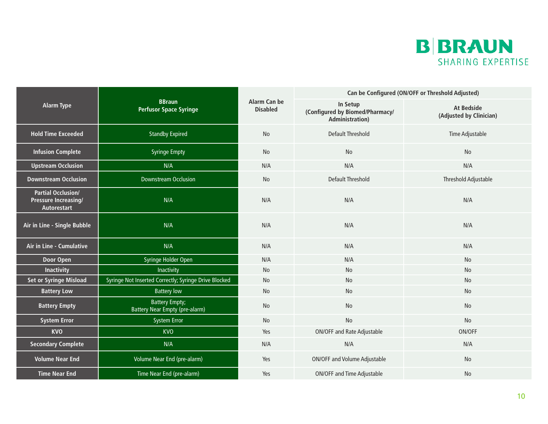

|                                                                         |                                                                |                                 | Can be Configured (ON/OFF or Threshold Adjusted)                       |                                              |  |
|-------------------------------------------------------------------------|----------------------------------------------------------------|---------------------------------|------------------------------------------------------------------------|----------------------------------------------|--|
| <b>Alarm Type</b>                                                       | <b>BBraun</b><br><b>Perfusor Space Syringe</b>                 | Alarm Can be<br><b>Disabled</b> | In Setup<br>(Configured by Biomed/Pharmacy/<br><b>Administration</b> ) | <b>At Bedside</b><br>(Adjusted by Clinician) |  |
| <b>Hold Time Exceeded</b>                                               | <b>Standby Expired</b>                                         | No                              | <b>Default Threshold</b>                                               | Time Adjustable                              |  |
| <b>Infusion Complete</b>                                                | <b>Syringe Empty</b>                                           | No                              | No                                                                     | No                                           |  |
| <b>Upstream Occlusion</b>                                               | N/A                                                            | N/A                             | N/A                                                                    | N/A                                          |  |
| <b>Downstream Occlusion</b>                                             | <b>Downstream Occlusion</b>                                    | <b>No</b>                       | <b>Default Threshold</b>                                               | <b>Threshold Adjustable</b>                  |  |
| <b>Partial Occlusion/</b><br><b>Pressure Increasing/</b><br>Autorestart | N/A                                                            | N/A                             | N/A                                                                    | N/A                                          |  |
| Air in Line - Single Bubble                                             | N/A                                                            | N/A                             | N/A                                                                    | N/A                                          |  |
| Air in Line - Cumulative                                                | N/A                                                            | N/A                             | N/A                                                                    | N/A                                          |  |
| Door Open                                                               | Syringe Holder Open                                            | N/A                             | N/A                                                                    | No                                           |  |
| <b>Inactivity</b>                                                       | Inactivity                                                     | <b>No</b>                       | <b>No</b>                                                              | No                                           |  |
| <b>Set or Syringe Misload</b>                                           | Syringe Not Inserted Correctly; Syringe Drive Blocked          | No                              | No                                                                     | No                                           |  |
| <b>Battery Low</b>                                                      | <b>Battery low</b>                                             | No                              | No                                                                     | No                                           |  |
| <b>Battery Empty</b>                                                    | <b>Battery Empty;</b><br><b>Battery Near Empty (pre-alarm)</b> | <b>No</b>                       | <b>No</b>                                                              | No                                           |  |
| <b>System Error</b>                                                     | <b>System Error</b>                                            | No                              | No                                                                     | No                                           |  |
| <b>KVO</b>                                                              | <b>KVO</b>                                                     | Yes                             | <b>ON/OFF and Rate Adjustable</b>                                      | ON/OFF                                       |  |
| <b>Secondary Complete</b>                                               | N/A                                                            | N/A                             | N/A                                                                    | N/A                                          |  |
| <b>Volume Near End</b>                                                  | Volume Near End (pre-alarm)                                    | Yes                             | <b>ON/OFF and Volume Adjustable</b>                                    | No                                           |  |
| <b>Time Near End</b>                                                    | Time Near End (pre-alarm)                                      | Yes                             | <b>ON/OFF and Time Adjustable</b>                                      | No                                           |  |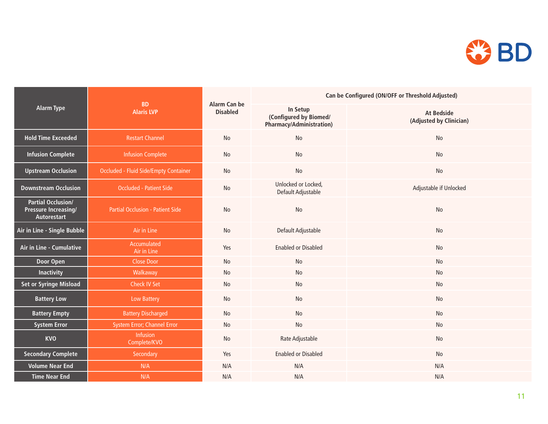

|                                                                         | <b>BD</b><br><b>Alaris LVP</b>               | Alarm Can be<br><b>Disabled</b> | Can be Configured (ON/OFF or Threshold Adjusted)                      |                                              |  |  |
|-------------------------------------------------------------------------|----------------------------------------------|---------------------------------|-----------------------------------------------------------------------|----------------------------------------------|--|--|
| <b>Alarm Type</b>                                                       |                                              |                                 | In Setup<br>(Configured by Biomed/<br><b>Pharmacy/Administration)</b> | <b>At Bedside</b><br>(Adjusted by Clinician) |  |  |
| <b>Hold Time Exceeded</b>                                               | <b>Restart Channel</b>                       | No                              | No                                                                    | No                                           |  |  |
| <b>Infusion Complete</b>                                                | <b>Infusion Complete</b>                     | No                              | No                                                                    | No                                           |  |  |
| <b>Upstream Occlusion</b>                                               | <b>Occluded - Fluid Side/Empty Container</b> | No                              | No                                                                    | No                                           |  |  |
| <b>Downstream Occlusion</b>                                             | <b>Occluded - Patient Side</b>               | No                              | Unlocked or Locked,<br>Default Adjustable                             | Adjustable if Unlocked                       |  |  |
| <b>Partial Occlusion/</b><br><b>Pressure Increasing/</b><br>Autorestart | Partial Occlusion - Patient Side             | No                              | No                                                                    | No                                           |  |  |
| Air in Line - Single Bubble                                             | Air in Line                                  | No                              | Default Adjustable                                                    | No                                           |  |  |
| Air in Line - Cumulative                                                | Accumulated<br>Air in Line                   | Yes                             | <b>Enabled or Disabled</b>                                            | No                                           |  |  |
| Door Open                                                               | <b>Close Door</b>                            | No                              | No                                                                    | No                                           |  |  |
| <b>Inactivity</b>                                                       | Walkaway                                     | No                              | No                                                                    | No                                           |  |  |
| <b>Set or Syringe Misload</b>                                           | <b>Check IV Set</b>                          | No                              | No                                                                    | No                                           |  |  |
| <b>Battery Low</b>                                                      | Low Battery                                  | No                              | No                                                                    | No                                           |  |  |
| <b>Battery Empty</b>                                                    | <b>Battery Discharged</b>                    | <b>No</b>                       | No                                                                    | No                                           |  |  |
| <b>System Error</b>                                                     | System Error; Channel Error                  | No                              | No                                                                    | No                                           |  |  |
| <b>KVO</b>                                                              | Infusion<br>Complete/KVO                     | No                              | Rate Adjustable                                                       | No                                           |  |  |
| <b>Secondary Complete</b>                                               | Secondary                                    | Yes                             | <b>Enabled or Disabled</b>                                            | No                                           |  |  |
| <b>Volume Near End</b>                                                  | N/A                                          | N/A                             | N/A                                                                   | N/A                                          |  |  |
| <b>Time Near End</b>                                                    | N/A                                          | N/A                             | N/A                                                                   | N/A                                          |  |  |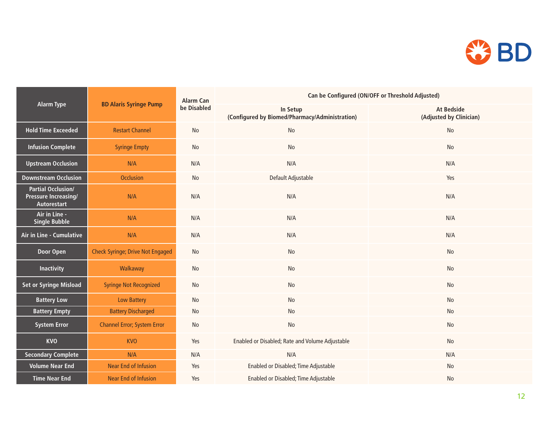

| <b>Alarm Type</b>                                                       |                                         | <b>Alarm Can</b><br>be Disabled | Can be Configured (ON/OFF or Threshold Adjusted)           |                                              |  |  |
|-------------------------------------------------------------------------|-----------------------------------------|---------------------------------|------------------------------------------------------------|----------------------------------------------|--|--|
|                                                                         | <b>BD Alaris Syringe Pump</b>           |                                 | In Setup<br>(Configured by Biomed/Pharmacy/Administration) | <b>At Bedside</b><br>(Adjusted by Clinician) |  |  |
| <b>Hold Time Exceeded</b>                                               | <b>Restart Channel</b>                  | No                              | No                                                         | No                                           |  |  |
| <b>Infusion Complete</b>                                                | <b>Syringe Empty</b>                    | No                              | No                                                         | No                                           |  |  |
| <b>Upstream Occlusion</b>                                               | N/A                                     | N/A                             | N/A                                                        | N/A                                          |  |  |
| <b>Downstream Occlusion</b>                                             | <b>Occlusion</b>                        | No                              | Default Adjustable                                         | Yes                                          |  |  |
| <b>Partial Occlusion/</b><br><b>Pressure Increasing/</b><br>Autorestart | N/A                                     | N/A                             | N/A                                                        | N/A                                          |  |  |
| Air in Line -<br><b>Single Bubble</b>                                   | N/A                                     | N/A                             | N/A                                                        | N/A                                          |  |  |
| Air in Line - Cumulative                                                | N/A                                     | N/A                             | N/A                                                        | N/A                                          |  |  |
| <b>Door Open</b>                                                        | <b>Check Syringe; Drive Not Engaged</b> | No                              | No                                                         | No                                           |  |  |
| Inactivity                                                              | Walkaway                                | No                              | No                                                         | No                                           |  |  |
| <b>Set or Syringe Misload</b>                                           | <b>Syringe Not Recognized</b>           | No                              | No                                                         | No                                           |  |  |
| <b>Battery Low</b>                                                      | <b>Low Battery</b>                      | No                              | No                                                         | No                                           |  |  |
| <b>Battery Empty</b>                                                    | <b>Battery Discharged</b>               | $\operatorname{\mathsf{No}}$    | No                                                         | No                                           |  |  |
| <b>System Error</b>                                                     | <b>Channel Error; System Error</b>      | No                              | No                                                         | No                                           |  |  |
| <b>KVO</b>                                                              | <b>KVO</b>                              | Yes                             | Enabled or Disabled; Rate and Volume Adjustable            | No                                           |  |  |
| <b>Secondary Complete</b>                                               | N/A                                     | N/A                             | N/A                                                        | N/A                                          |  |  |
| <b>Volume Near End</b>                                                  | <b>Near End of Infusion</b>             | Yes                             | Enabled or Disabled; Time Adjustable                       | No                                           |  |  |
| <b>Time Near End</b>                                                    | <b>Near End of Infusion</b>             | Yes                             | Enabled or Disabled; Time Adjustable                       | No                                           |  |  |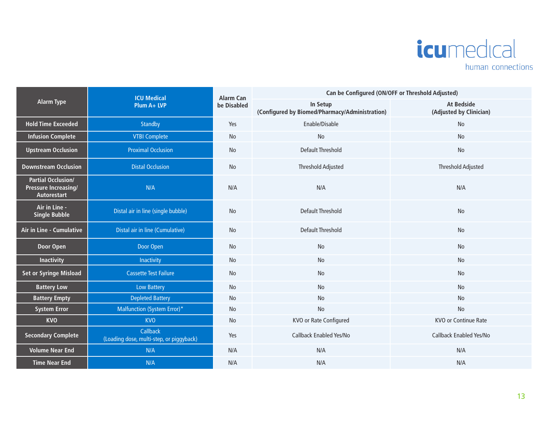

|                                                                         | <b>ICU Medical</b>                                   | <b>Alarm Can</b><br>be Disabled | Can be Configured (ON/OFF or Threshold Adjusted)           |                                              |  |  |
|-------------------------------------------------------------------------|------------------------------------------------------|---------------------------------|------------------------------------------------------------|----------------------------------------------|--|--|
| <b>Alarm Type</b>                                                       | Plum A+ LVP                                          |                                 | In Setup<br>(Configured by Biomed/Pharmacy/Administration) | <b>At Bedside</b><br>(Adjusted by Clinician) |  |  |
| <b>Hold Time Exceeded</b>                                               | Standby                                              | Yes                             | Enable/Disable                                             | No                                           |  |  |
| <b>Infusion Complete</b>                                                | <b>VTBI Complete</b>                                 | No                              | No                                                         | No                                           |  |  |
| <b>Upstream Occlusion</b>                                               | <b>Proximal Occlusion</b>                            | No                              | <b>Default Threshold</b>                                   | No                                           |  |  |
| <b>Downstream Occlusion</b>                                             | <b>Distal Occlusion</b>                              | No                              | <b>Threshold Adjusted</b>                                  | <b>Threshold Adjusted</b>                    |  |  |
| <b>Partial Occlusion/</b><br>Pressure Increasing/<br><b>Autorestart</b> | N/A                                                  | N/A                             | N/A                                                        | N/A                                          |  |  |
| Air in Line -<br>Single Bubble                                          | Distal air in line (single bubble)                   | No                              | <b>Default Threshold</b>                                   | No                                           |  |  |
| Air in Line - Cumulative                                                | Distal air in line (Cumulative)                      | <b>No</b>                       | <b>Default Threshold</b>                                   | No                                           |  |  |
| Door Open                                                               | Door Open                                            | No                              | <b>No</b>                                                  | No                                           |  |  |
| <b>Inactivity</b>                                                       | Inactivity                                           | No                              | No                                                         | No                                           |  |  |
| <b>Set or Syringe Misload</b>                                           | <b>Cassette Test Failure</b>                         | No                              | No                                                         | No                                           |  |  |
| <b>Battery Low</b>                                                      | <b>Low Battery</b>                                   | No                              | No                                                         | No                                           |  |  |
| <b>Battery Empty</b>                                                    | <b>Depleted Battery</b>                              | No                              | No                                                         | No                                           |  |  |
| <b>System Error</b>                                                     | Malfunction (System Error)*                          | No                              | No                                                         | No                                           |  |  |
| <b>KVO</b>                                                              | <b>KVO</b>                                           | No                              | KVO or Rate Configured                                     | <b>KVO or Continue Rate</b>                  |  |  |
| <b>Secondary Complete</b>                                               | Callback<br>(Loading dose, multi-step, or piggyback) | Yes                             | Callback Enabled Yes/No                                    | Callback Enabled Yes/No                      |  |  |
| <b>Volume Near End</b>                                                  | N/A                                                  | N/A                             | N/A                                                        | N/A                                          |  |  |
| <b>Time Near End</b>                                                    | N/A                                                  | N/A                             | N/A                                                        | N/A                                          |  |  |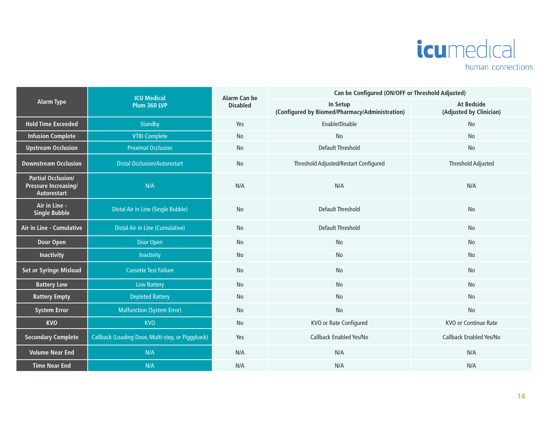

| <b>Alarm Type</b>                                                       | <b>ICU Medical</b><br><b>Plum 360 LVP</b>         | Alarm Can be<br><b>Disabled</b> | Can be Configured (ON/OFF or Threshold Adjusted)           |                                       |  |
|-------------------------------------------------------------------------|---------------------------------------------------|---------------------------------|------------------------------------------------------------|---------------------------------------|--|
|                                                                         |                                                   |                                 | In Setup<br>(Configured by Biomed/Pharmacy/Administration) | At Bedside<br>(Adjusted by Clinician) |  |
| <b>Hold Time Exceeded</b>                                               | Standby                                           | Yes                             | Enable/Disable                                             | No                                    |  |
| <b>Infusion Complete</b>                                                | <b>VTBI Complete</b>                              | No                              | No                                                         | No                                    |  |
| <b>Upstream Occlusion</b>                                               | <b>Proximal Occlusion</b>                         | No                              | Default Threshold                                          | No                                    |  |
| <b>Downstream Occlusion</b>                                             | <b>Distal Occlusion/Autorestart</b>               | No                              | Threshold Adjusted/Restart Configured                      | <b>Threshold Adjusted</b>             |  |
| <b>Partial Occlusion/</b><br>Pressure Increasing/<br><b>Autorestart</b> | N/A                                               | N/A                             | N/A                                                        | N/A                                   |  |
| Air in Line -<br><b>Single Bubble</b>                                   | Distal Air in Line (Single Bubble)                | <b>No</b>                       | <b>Default Threshold</b>                                   | No                                    |  |
| Air in Line - Cumulative                                                | <b>Distal Air in Line (Cumulative)</b>            | No                              | Default Threshold                                          | No                                    |  |
| Door Open                                                               | Door Open                                         | No                              | No                                                         | No                                    |  |
| <b>Inactivity</b>                                                       | Inactivity                                        | No                              | No                                                         | No                                    |  |
| <b>Set or Syringe Misload</b>                                           | <b>Cassette Test Failure</b>                      | No                              | No                                                         | No                                    |  |
| <b>Battery Low</b>                                                      | Low Battery                                       | No                              | No                                                         | No                                    |  |
| <b>Battery Empty</b>                                                    | <b>Depleted Battery</b>                           | No                              | No                                                         | No                                    |  |
| <b>System Error</b>                                                     | <b>Malfunction (System Error)</b>                 | No                              | No                                                         | No                                    |  |
| <b>KVO</b>                                                              | <b>KVO</b>                                        | No                              | KVO or Rate Configured                                     | <b>KVO or Continue Rate</b>           |  |
| <b>Secondary Complete</b>                                               | Callback (Loading Dose, Multi-step, or Piggyback) | Yes                             | Callback Enabled Yes/No                                    | Callback Enabled Yes/No               |  |
| <b>Volume Near End</b>                                                  | N/A                                               | N/A                             | N/A                                                        | N/A                                   |  |
| <b>Time Near End</b>                                                    | N/A                                               | N/A                             | N/A                                                        | N/A                                   |  |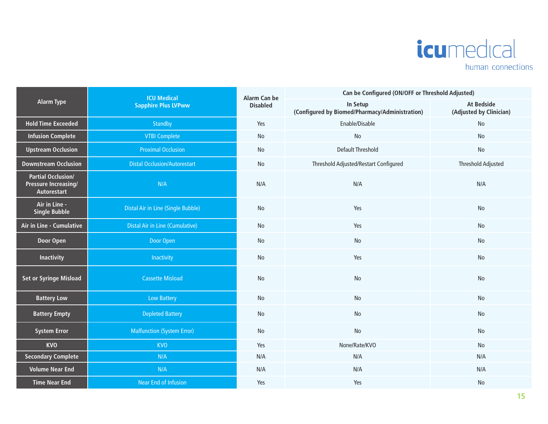

|                                                                         | <b>ICU Medical</b>                     | Alarm Can be    | Can be Configured (ON/OFF or Threshold Adjusted)           |                                              |  |
|-------------------------------------------------------------------------|----------------------------------------|-----------------|------------------------------------------------------------|----------------------------------------------|--|
| <b>Alarm Type</b>                                                       | <b>Sapphire Plus LVPww</b>             | <b>Disabled</b> | In Setup<br>(Configured by Biomed/Pharmacy/Administration) | <b>At Bedside</b><br>(Adjusted by Clinician) |  |
| <b>Hold Time Exceeded</b>                                               | Standby                                | Yes             | Enable/Disable                                             | No                                           |  |
| <b>Infusion Complete</b>                                                | <b>VTBI Complete</b>                   | No              | $\operatorname{\mathsf{No}}$                               | No                                           |  |
| <b>Upstream Occlusion</b>                                               | <b>Proximal Occlusion</b>              | No              | <b>Default Threshold</b>                                   | No                                           |  |
| <b>Downstream Occlusion</b>                                             | <b>Distal Occlusion/Autorestart</b>    | No              | Threshold Adjusted/Restart Configured                      | Threshold Adjusted                           |  |
| <b>Partial Occlusion/</b><br><b>Pressure Increasing/</b><br>Autorestart | N/A                                    | N/A             | N/A                                                        | N/A                                          |  |
| Air in Line -<br><b>Single Bubble</b>                                   | Distal Air in Line (Single Bubble)     | <b>No</b>       | Yes                                                        | No                                           |  |
| <b>Air in Line - Cumulative</b>                                         | <b>Distal Air in Line (Cumulative)</b> | No              | Yes                                                        | No                                           |  |
| Door Open                                                               | Door Open                              | No              | No                                                         | No                                           |  |
| <b>Inactivity</b>                                                       | Inactivity                             | No              | Yes                                                        | No                                           |  |
| <b>Set or Syringe Misload</b>                                           | <b>Cassette Misload</b>                | No              | No                                                         | No                                           |  |
| <b>Battery Low</b>                                                      | Low Battery                            | No              | No                                                         | No                                           |  |
| <b>Battery Empty</b>                                                    | <b>Depleted Battery</b>                | No              | No                                                         | No                                           |  |
| <b>System Error</b>                                                     | <b>Malfunction (System Error)</b>      | No              | No                                                         | No                                           |  |
| <b>KVO</b>                                                              | <b>KVO</b>                             | Yes             | None/Rate/KVO                                              | No                                           |  |
| <b>Secondary Complete</b>                                               | N/A                                    | N/A             | N/A                                                        | N/A                                          |  |
| <b>Volume Near End</b>                                                  | N/A                                    | N/A             | N/A                                                        | N/A                                          |  |
| <b>Time Near End</b>                                                    | Near End of Infusion                   | Yes             | Yes                                                        | No                                           |  |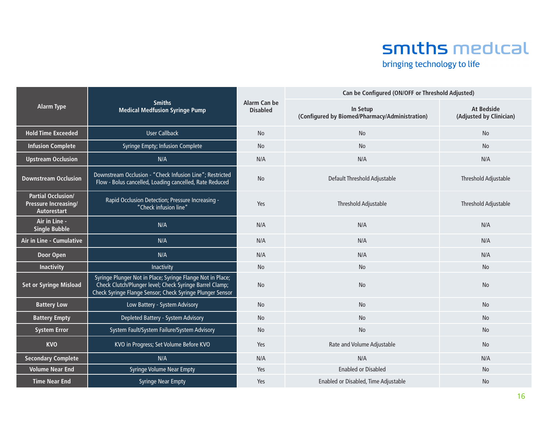# smiths medical

bringing technology to life

|                                                                         |                                                                                                                                                                                    |                                 | Can be Configured (ON/OFF or Threshold Adjusted)           |                                              |  |
|-------------------------------------------------------------------------|------------------------------------------------------------------------------------------------------------------------------------------------------------------------------------|---------------------------------|------------------------------------------------------------|----------------------------------------------|--|
| <b>Alarm Type</b>                                                       | <b>Smiths</b><br><b>Medical Medfusion Syringe Pump</b>                                                                                                                             | Alarm Can be<br><b>Disabled</b> | In Setup<br>(Configured by Biomed/Pharmacy/Administration) | <b>At Bedside</b><br>(Adjusted by Clinician) |  |
| <b>Hold Time Exceeded</b>                                               | <b>User Callback</b>                                                                                                                                                               | <b>No</b>                       | <b>No</b>                                                  | <b>No</b>                                    |  |
| <b>Infusion Complete</b>                                                | Syringe Empty; Infusion Complete                                                                                                                                                   | No                              | No                                                         | No                                           |  |
| <b>Upstream Occlusion</b>                                               | N/A                                                                                                                                                                                | N/A                             | N/A                                                        | N/A                                          |  |
| <b>Downstream Occlusion</b>                                             | Downstream Occlusion - "Check Infusion Line"; Restricted<br>Flow - Bolus cancelled, Loading cancelled, Rate Reduced                                                                | <b>No</b>                       | Default Threshold Adjustable                               | Threshold Adjustable                         |  |
| <b>Partial Occlusion/</b><br><b>Pressure Increasing/</b><br>Autorestart | Rapid Occlusion Detection; Pressure Increasing -<br>"Check infusion line"                                                                                                          | Yes                             | Threshold Adjustable                                       | Threshold Adjustable                         |  |
| Air in Line -<br><b>Single Bubble</b>                                   | N/A                                                                                                                                                                                | N/A                             | N/A                                                        | N/A                                          |  |
| Air in Line - Cumulative                                                | N/A                                                                                                                                                                                | N/A                             | N/A                                                        | N/A                                          |  |
| Door Open                                                               | N/A                                                                                                                                                                                | N/A                             | N/A                                                        | N/A                                          |  |
| <b>Inactivity</b>                                                       | Inactivity                                                                                                                                                                         | No                              | No                                                         | No                                           |  |
| <b>Set or Syringe Misload</b>                                           | Syringe Plunger Not in Place; Syringe Flange Not in Place;<br>Check Clutch/Plunger level; Check Syringe Barrel Clamp;<br>Check Syringe Flange Sensor; Check Syringe Plunger Sensor | <b>No</b>                       | <b>No</b>                                                  | <b>No</b>                                    |  |
| <b>Battery Low</b>                                                      | Low Battery - System Advisory                                                                                                                                                      | No                              | No                                                         | No                                           |  |
| <b>Battery Empty</b>                                                    | Depleted Battery - System Advisory                                                                                                                                                 | No                              | No                                                         | No                                           |  |
| <b>System Error</b>                                                     | System Fault/System Failure/System Advisory                                                                                                                                        | <b>No</b>                       | <b>No</b>                                                  | <b>No</b>                                    |  |
| <b>KVO</b>                                                              | KVO in Progress; Set Volume Before KVO                                                                                                                                             | Yes                             | Rate and Volume Adjustable                                 | No                                           |  |
| <b>Secondary Complete</b>                                               | N/A                                                                                                                                                                                | N/A                             | N/A                                                        | N/A                                          |  |
| <b>Volume Near End</b>                                                  | <b>Syringe Volume Near Empty</b>                                                                                                                                                   | Yes                             | <b>Enabled or Disabled</b>                                 | No                                           |  |
| <b>Time Near End</b>                                                    | <b>Syringe Near Empty</b>                                                                                                                                                          | Yes                             | Enabled or Disabled, Time Adjustable                       | <b>No</b>                                    |  |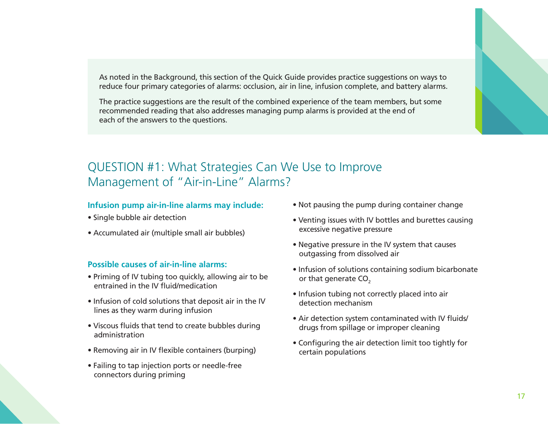As noted in the Background, this section of the Quick Guide provides practice suggestions on ways to reduce four primary categories of alarms: occlusion, air in line, infusion complete, and battery alarms.

The practice suggestions are the result of the combined experience of the team members, but some recommended reading that also addresses managing pump alarms is provided at the end of each of the answers to the questions.



# QUESTION #1: What Strategies Can We Use to Improve Management of "Air-in-Line" Alarms?

#### **Infusion pump air-in-line alarms may include:**

- Single bubble air detection
- Accumulated air (multiple small air bubbles)

#### **Possible causes of air-in-line alarms:**

- Priming of IV tubing too quickly, allowing air to be entrained in the IV fluid/medication
- Infusion of cold solutions that deposit air in the IV lines as they warm during infusion
- Viscous fluids that tend to create bubbles during administration
- Removing air in IV flexible containers (burping)
- Failing to tap injection ports or needle-free connectors during priming
- Not pausing the pump during container change
- Venting issues with IV bottles and burettes causing excessive negative pressure
- Negative pressure in the IV system that causes outgassing from dissolved air
- Infusion of solutions containing sodium bicarbonate or that generate CO<sub>2</sub>
- Infusion tubing not correctly placed into air detection mechanism
- Air detection system contaminated with IV fluids/ drugs from spillage or improper cleaning
- Configuring the air detection limit too tightly for certain populations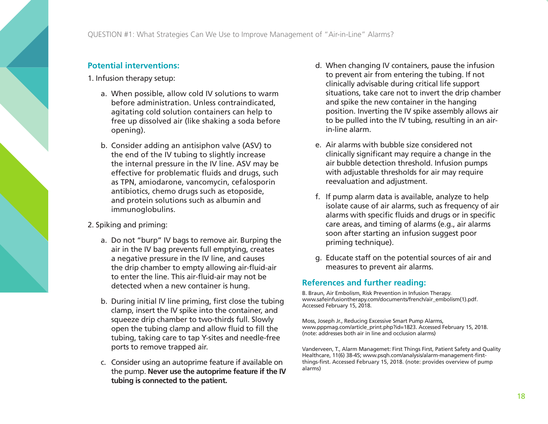QUESTION #1: What Strategies Can We Use to Improve Management of "Air-in-Line" Alarms?

#### **Potential interventions:**

1. Infusion therapy setup:

- a. When possible, allow cold IV solutions to warm before administration. Unless contraindicated, agitating cold solution containers can help to free up dissolved air (like shaking a soda before opening).
- b. Consider adding an antisiphon valve (ASV) to the end of the IV tubing to slightly increase the internal pressure in the IV line. ASV may be effective for problematic fluids and drugs, such as TPN, amiodarone, vancomycin, cefalosporin antibiotics, chemo drugs such as etoposide, and protein solutions such as albumin and immunoglobulins.
- 2. Spiking and priming:
	- a. Do not "burp" IV bags to remove air. Burping the air in the IV bag prevents full emptying, creates a negative pressure in the IV line, and causes the drip chamber to empty allowing air-fluid-air to enter the line. This air-fluid-air may not be detected when a new container is hung.
	- b. During initial IV line priming, first close the tubing clamp, insert the IV spike into the container, and squeeze drip chamber to two-thirds full. Slowly open the tubing clamp and allow fluid to fill the tubing, taking care to tap Y-sites and needle-free ports to remove trapped air.
	- c. Consider using an autoprime feature if available on the pump. **Never use the autoprime feature if the IV tubing is connected to the patient.**
- d. When changing IV containers, pause the infusion to prevent air from entering the tubing. If not clinically advisable during critical life support situations, take care not to invert the drip chamber and spike the new container in the hanging position. Inverting the IV spike assembly allows air to be pulled into the IV tubing, resulting in an airin-line alarm.
- e. Air alarms with bubble size considered not clinically significant may require a change in the air bubble detection threshold. Infusion pumps with adjustable thresholds for air may require reevaluation and adjustment.
- f. If pump alarm data is available, analyze to help isolate cause of air alarms, such as frequency of air alarms with specific fluids and drugs or in specific care areas, and timing of alarms (e.g., air alarms soon after starting an infusion suggest poor priming technique).
- g. Educate staff on the potential sources of air and measures to prevent air alarms.

#### **References and further reading:**

B. Braun, Air Embolism, Risk Prevention in Infusion Therapy. www.safeinfusiontherapy.com/documents/french/air\_embolism(1).pdf. Accessed February 15, 2018.

Moss, Joseph Jr., Reducing Excessive Smart Pump Alarms, www.pppmag.com/article\_print.php?id=1823. Accessed February 15, 2018. (note: addresses both air in line and occlusion alarms)

Vanderveen, T., Alarm Managemet: First Things First, Patient Safety and Quality Healthcare, 11(6) 38-45; www.psqh.com/analysis/alarm-management-firstthings-first. Accessed February 15, 2018. (note: provides overview of pump alarms)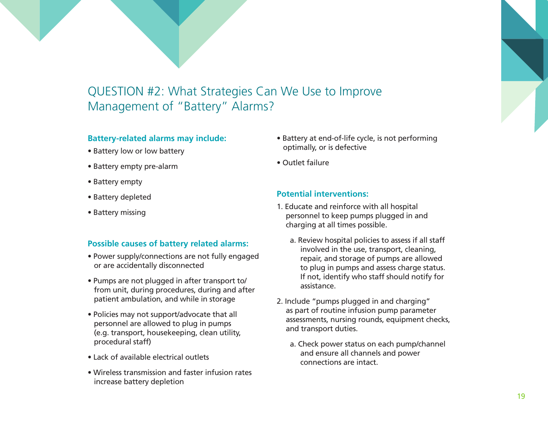# QUESTION #2: What Strategies Can We Use to Improve Management of "Battery" Alarms?

#### **Battery-related alarms may include:**

- Battery low or low battery
- Battery empty pre-alarm
- Battery empty
- Battery depleted
- Battery missing

#### **Possible causes of battery related alarms:**

- Power supply/connections are not fully engaged or are accidentally disconnected
- Pumps are not plugged in after transport to/ from unit, during procedures, during and after patient ambulation, and while in storage
- Policies may not support/advocate that all personnel are allowed to plug in pumps (e.g. transport, housekeeping, clean utility, procedural staff)
- Lack of available electrical outlets
- Wireless transmission and faster infusion rates increase battery depletion
- Battery at end-of-life cycle, is not performing optimally, or is defective
- Outlet failure

#### **Potential interventions:**

- 1. Educate and reinforce with all hospital personnel to keep pumps plugged in and charging at all times possible.
	- a. Review hospital policies to assess if all staff involved in the use, transport, cleaning, repair, and storage of pumps are allowed to plug in pumps and assess charge status. If not, identify who staff should notify for assistance.
- 2. Include "pumps plugged in and charging" as part of routine infusion pump parameter assessments, nursing rounds, equipment checks, and transport duties.
	- a. Check power status on each pump/channel and ensure all channels and power connections are intact.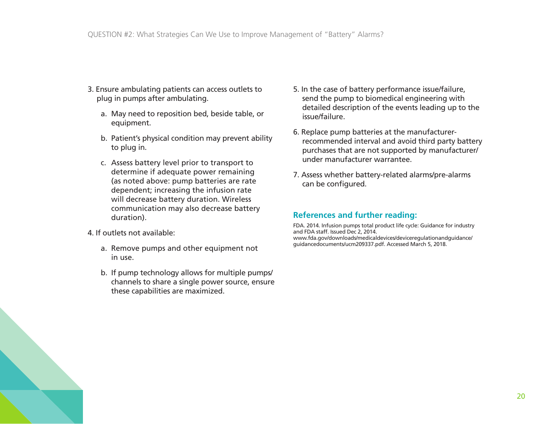- 3. Ensure ambulating patients can access outlets to plug in pumps after ambulating.
	- a. May need to reposition bed, beside table, or equipment.
	- b. Patient's physical condition may prevent ability to plug in.
	- c. Assess battery level prior to transport to determine if adequate power remaining (as noted above: pump batteries are rate dependent; increasing the infusion rate will decrease battery duration. Wireless communication may also decrease battery duration).
- 4. If outlets not available:
	- a. Remove pumps and other equipment not in use.
	- b. If pump technology allows for multiple pumps/ channels to share a single power source, ensure these capabilities are maximized.
- 5. In the case of battery performance issue/failure, send the pump to biomedical engineering with detailed description of the events leading up to the issue/failure.
- 6. Replace pump batteries at the manufacturerrecommended interval and avoid third party battery purchases that are not supported by manufacturer/ under manufacturer warrantee.
- 7. Assess whether battery-related alarms/pre-alarms can be configured.

#### **References and further reading:**

FDA. 2014. Infusion pumps total product life cycle: Guidance for industry and FDA staff. Issued Dec 2, 2014. www.fda.gov/downloads/medicaldevices/deviceregulationandguidance/ guidancedocuments/ucm209337.pdf. Accessed March 5, 2018.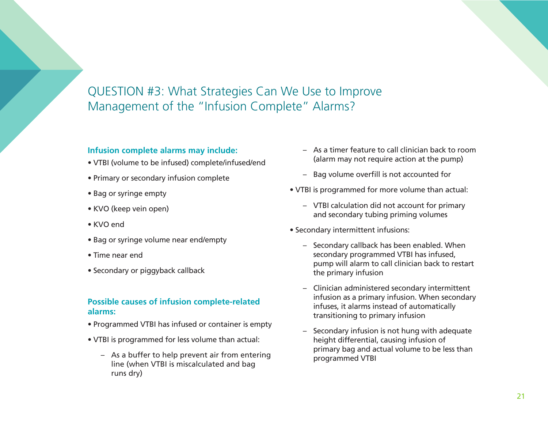# QUESTION #3: What Strategies Can We Use to Improve Management of the "Infusion Complete" Alarms?

#### **Infusion complete alarms may include:**

- VTBI (volume to be infused) complete/infused/end
- Primary or secondary infusion complete
- Bag or syringe empty
- KVO (keep vein open)
- KVO end
- Bag or syringe volume near end/empty
- Time near end
- Secondary or piggyback callback

### **Possible causes of infusion complete-related alarms:**

- Programmed VTBI has infused or container is empty
- VTBI is programmed for less volume than actual:
	- As a buffer to help prevent air from entering line (when VTBI is miscalculated and bag runs dry)
- As a timer feature to call clinician back to room (alarm may not require action at the pump)
- Bag volume overfill is not accounted for
- VTBI is programmed for more volume than actual:
	- VTBI calculation did not account for primary and secondary tubing priming volumes
- Secondary intermittent infusions:
	- Secondary callback has been enabled. When secondary programmed VTBI has infused, pump will alarm to call clinician back to restart the primary infusion
	- Clinician administered secondary intermittent infusion as a primary infusion. When secondary infuses, it alarms instead of automatically transitioning to primary infusion
	- Secondary infusion is not hung with adequate height differential, causing infusion of primary bag and actual volume to be less than programmed VTBI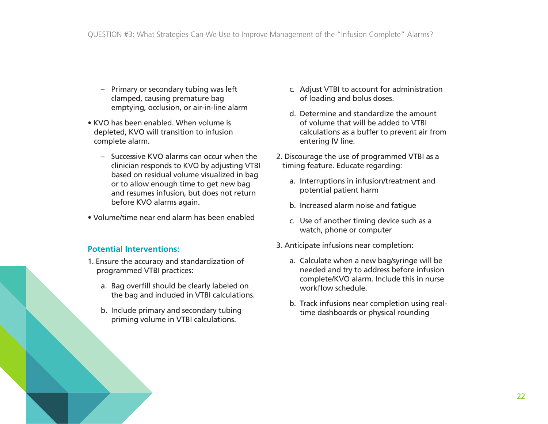- Primary or secondary tubing was left clamped, causing premature bag emptying, occlusion, or air-in-line alarm
- KVO has been enabled. When volume is depleted, KVO will transition to infusion complete alarm.
	- Successive KVO alarms can occur when the clinician responds to KVO by adjusting VTBI based on residual volume visualized in bag or to allow enough time to get new bag and resumes infusion, but does not return before KVO alarms again.
- Volume/time near end alarm has been enabled

#### **Potential Interventions:**

- 1. Ensure the accuracy and standardization of programmed VTBI practices:
	- a. Bag overfill should be clearly labeled on the bag and included in VTBI calculations.
	- b. Include primary and secondary tubing priming volume in VTBI calculations.
- c. Adjust VTBI to account for administration of loading and bolus doses.
- d. Determine and standardize the amount of volume that will be added to VTBI calculations as a buffer to prevent air from entering IV line.
- 2. Discourage the use of programmed VTBI as a timing feature. Educate regarding:
	- a. Interruptions in infusion/treatment and potential patient harm
	- b. Increased alarm noise and fatigue
	- c. Use of another timing device such as a watch, phone or computer
- 3. Anticipate infusions near completion:
	- a. Calculate when a new bag/syringe will be needed and try to address before infusion complete/KVO alarm. Include this in nurse workflow schedule.
	- b. Track infusions near completion using realtime dashboards or physical rounding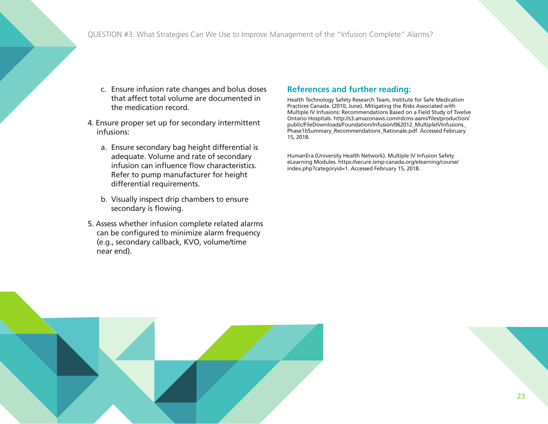QUESTION #3: What Strategies Can We Use to Improve Management of the "Infusion Complete" Alarms?

- c. Ensure infusion rate changes and bolus doses that affect total volume are documented in the medication record.
- 4. Ensure proper set up for secondary intermittent infusions:
	- a. Ensure secondary bag height differential is adequate. Volume and rate of secondary infusion can influence flow characteristics. Refer to pump manufacturer for height differential requirements.
	- b. Visually inspect drip chambers to ensure secondary is flowing.
- 5. Assess whether infusion complete related alarms can be configured to minimize alarm frequency (e.g., secondary callback, KVO, volume/time near end).

#### **References and further reading:**

Health Technology Safety Research Team, Institute for Safe Medication Practices Canada. (2010, June). Mitigating the Risks Associated with Multiple IV Infusions: Recommendations Based on a Field Study of Twelve Ontario Hospitals. http://s3.amazonaws.com/rdcms-aami/files/production/ public/FileDownloads/Foundation/Infusion/062012\_MultipleIVInfusions\_ Phase1bSummary\_Recommendations\_Rationale.pdf. Accessed February 15, 2018.

HumanEra (University Health Network). Multiple IV Infusion Safety eLearning Modules. https://secure.ismp-canada.org/elearning/course/ index.php?categoryid=1. Accessed February 15, 2018.

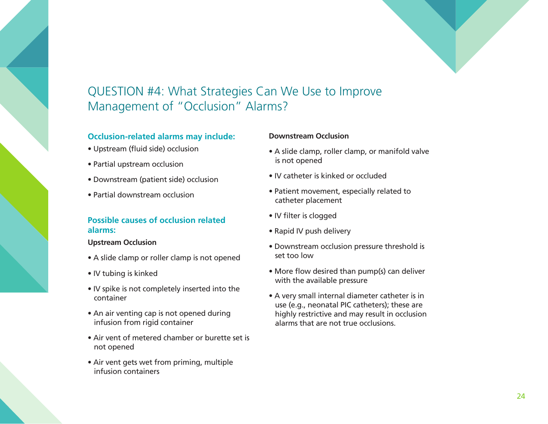

# QUESTION #4: What Strategies Can We Use to Improve Management of "Occlusion" Alarms?

#### **Occlusion-related alarms may include:**

- Upstream (fluid side) occlusion
- Partial upstream occlusion
- Downstream (patient side) occlusion
- Partial downstream occlusion

#### **Possible causes of occlusion related alarms:**

#### **Upstream Occlusion**

- A slide clamp or roller clamp is not opened
- IV tubing is kinked
- IV spike is not completely inserted into the container
- An air venting cap is not opened during infusion from rigid container
- Air vent of metered chamber or burette set is not opened
- Air vent gets wet from priming, multiple infusion containers

#### **Downstream Occlusion**

- A slide clamp, roller clamp, or manifold valve is not opened
- IV catheter is kinked or occluded
- Patient movement, especially related to catheter placement
- IV filter is clogged
- Rapid IV push delivery
- Downstream occlusion pressure threshold is set too low
- More flow desired than pump(s) can deliver with the available pressure
- A very small internal diameter catheter is in use (e.g., neonatal PIC catheters); these are highly restrictive and may result in occlusion alarms that are not true occlusions.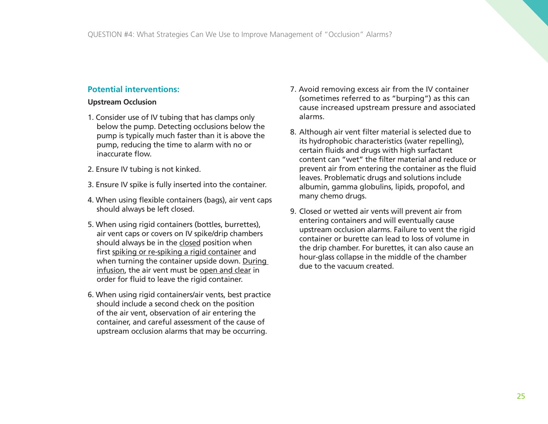#### **Potential interventions:**

#### **Upstream Occlusion**

- 1. Consider use of IV tubing that has clamps only below the pump. Detecting occlusions below the pump is typically much faster than it is above the pump, reducing the time to alarm with no or inaccurate flow.
- 2. Ensure IV tubing is not kinked.
- 3. Ensure IV spike is fully inserted into the container.
- 4. When using flexible containers (bags), air vent caps should always be left closed.
- 5. When using rigid containers (bottles, burrettes), air vent caps or covers on IV spike/drip chambers should always be in the closed position when first spiking or re-spiking a rigid container and when turning the container upside down. During infusion, the air vent must be open and clear in order for fluid to leave the rigid container.
- 6. When using rigid containers/air vents, best practice should include a second check on the position of the air vent, observation of air entering the container, and careful assessment of the cause of upstream occlusion alarms that may be occurring.
- 7. Avoid removing excess air from the IV container (sometimes referred to as "burping") as this can cause increased upstream pressure and associated alarms.
- 8. Although air vent filter material is selected due to its hydrophobic characteristics (water repelling), certain fluids and drugs with high surfactant content can "wet" the filter material and reduce or prevent air from entering the container as the fluid leaves. Problematic drugs and solutions include albumin, gamma globulins, lipids, propofol, and many chemo drugs.
- 9. Closed or wetted air vents will prevent air from entering containers and will eventually cause upstream occlusion alarms. Failure to vent the rigid container or burette can lead to loss of volume in the drip chamber. For burettes, it can also cause an hour-glass collapse in the middle of the chamber due to the vacuum created.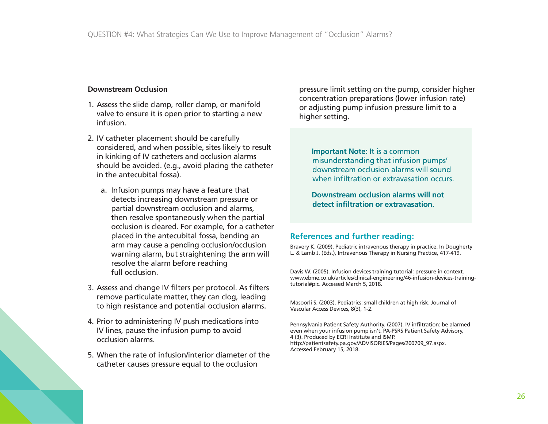#### **Downstream Occlusion**

- 1. Assess the slide clamp, roller clamp, or manifold valve to ensure it is open prior to starting a new infusion.
- 2. IV catheter placement should be carefully considered, and when possible, sites likely to result in kinking of IV catheters and occlusion alarms should be avoided. (e.g., avoid placing the catheter in the antecubital fossa).
	- a. Infusion pumps may have a feature that detects increasing downstream pressure or partial downstream occlusion and alarms, then resolve spontaneously when the partial occlusion is cleared. For example, for a catheter placed in the antecubital fossa, bending an arm may cause a pending occlusion/occlusion warning alarm, but straightening the arm will resolve the alarm before reaching full occlusion.
- 3. Assess and change IV filters per protocol. As filters remove particulate matter, they can clog, leading to high resistance and potential occlusion alarms.
- 4. Prior to administering IV push medications into IV lines, pause the infusion pump to avoid occlusion alarms.
- 5. When the rate of infusion/interior diameter of the catheter causes pressure equal to the occlusion

pressure limit setting on the pump, consider higher concentration preparations (lower infusion rate) or adjusting pump infusion pressure limit to a higher setting.

**Important Note: It is a common** misunderstanding that infusion pumps' downstream occlusion alarms will sound when infiltration or extravasation occurs.

**Downstream occlusion alarms will not detect infiltration or extravasation.**

#### **References and further reading:**

Bravery K. (2009). Pediatric intravenous therapy in practice. In Dougherty L. & Lamb J. (Eds.), Intravenous Therapy in Nursing Practice, 417-419.

Davis W. (2005). Infusion devices training tutorial: pressure in context. www.ebme.co.uk/articles/clinical-engineering/46-infusion-devices-trainingtutorial#pic. Accessed March 5, 2018.

Masoorli S. (2003). Pediatrics: small children at high risk. Journal of Vascular Access Devices, 8(3), 1-2.

Pennsylvania Patient Safety Authority. (2007). IV infiltration: be alarmed even when your infusion pump isn't. PA-PSRS Patient Safety Advisory, 4 (3). Produced by ECRI Institute and ISMP. http://patientsafety.pa.gov/ADVISORIES/Pages/200709\_97.aspx. Accessed February 15, 2018.